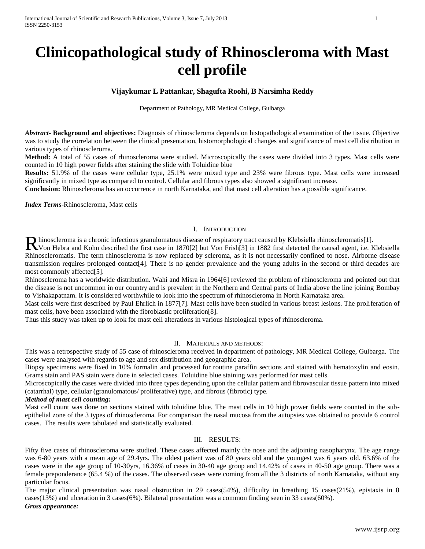# **Clinicopathological study of Rhinoscleroma with Mast cell profile**

# **Vijaykumar L Pattankar, Shagufta Roohi, B Narsimha Reddy**

Department of Pathology, MR Medical College, Gulbarga

*Abstract***- Background and objectives:** Diagnosis of rhinoscleroma depends on histopathological examination of the tissue. Objective was to study the correlation between the clinical presentation, histomorphological changes and significance of mast cell distribution in various types of rhinoscleroma.

**Method:** A total of 55 cases of rhinoscleroma were studied. Microscopically the cases were divided into 3 types. Mast cells were counted in 10 high power fields after staining the slide with Toluidine blue

**Results:** 51.9% of the cases were cellular type, 25.1% were mixed type and 23% were fibrous type. Mast cells were increased significantly in mixed type as compared to control. Cellular and fibrous types also showed a significant increase.

**Conclusion:** Rhinoscleroma has an occurrence in north Karnataka, and that mast cell alteration has a possible significance.

*Index Terms*-Rhinoscleroma, Mast cells

## I. INTRODUCTION

hinoscleroma is a chronic infectious granulomatous disease of respiratory tract caused by Klebsiella rhinoscleromatis[1].

Rhinoscleroma is a chronic infectious granulomatous disease of respiratory tract caused by Klebsiella rhinoscleromatis[1].<br>Rivon Hebra and Kohn described the first case in 1870[2] but Von Frish[3] in 1882 first detected th Rhinoscleromatis. The term rhinoscleroma is now replaced by scleroma, as it is not necessarily confined to nose. Airborne disease transmission requires prolonged contact[4]. There is no gender prevalence and the young adults in the second or third decades are most commonly affected[5].

Rhinoscleroma has a worldwide distribution. Wahi and Misra in 1964[6] reviewed the problem of rhinoscleroma and pointed out that the disease is not uncommon in our country and is prevalent in the Northern and Central parts of India above the line joining Bombay to Vishakapatnam. It is considered worthwhile to look into the spectrum of rhinoscleroma in North Karnataka area.

Mast cells were first described by Paul Ehrlich in 1877[7]. Mast cells have been studied in various breast lesions. The proliferation of mast cells, have been associated with the fibroblastic proliferation[8].

Thus this study was taken up to look for mast cell alterations in various histological types of rhinoscleroma.

### II. MATERIALS AND METHODS:

This was a retrospective study of 55 case of rhinoscleroma received in department of pathology, MR Medical College, Gulbarga. The cases were analysed with regards to age and sex distribution and geographic area.

Biopsy specimens were fixed in 10% formalin and processed for routine paraffin sections and stained with hematoxylin and eosin. Grams stain and PAS stain were done in selected cases. Toluidine blue staining was performed for mast cells.

Microscopically the cases were divided into three types depending upon the cellular pattern and fibrovascular tissue pattern into mixed (catarrhal) type, cellular (granulomatous/ proliferative) type, and fibrous (fibrotic) type.

#### *Method of mast cell counting:*

Mast cell count was done on sections stained with toluidine blue. The mast cells in 10 high power fields were counted in the subepithelial zone of the 3 types of rhinoscleroma. For comparison the nasal mucosa from the autopsies was obtained to provide 6 control cases. The results were tabulated and statistically evaluated.

## III. RESULTS:

Fifty five cases of rhinoscleroma were studied. These cases affected mainly the nose and the adjoining nasopharynx. The age range was 6-80 years with a mean age of 29.4yrs. The oldest patient was of 80 years old and the youngest was 6 years old. 63.6% of the cases were in the age group of 10-30yrs, 16.36% of cases in 30-40 age group and 14.42% of cases in 40-50 age group. There was a female preponderance (65.4 %) of the cases. The observed cases were coming from all the 3 districts of north Karnataka, without any particular focus.

The major clinical presentation was nasal obstruction in 29 cases(54%), difficulty in breathing 15 cases(21%), epistaxis in 8 cases(13%) and ulceration in 3 cases(6%). Bilateral presentation was a common finding seen in 33 cases(60%). *Gross appearance:*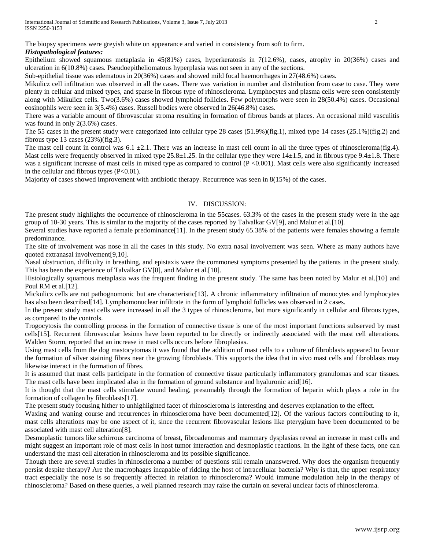The biopsy specimens were greyish white on appearance and varied in consistency from soft to firm. *Histopathological features:*

Epithelium showed squamous metaplasia in 45(81%) cases, hyperkeratosis in 7(12.6%), cases, atrophy in 20(36%) cases and ulceration in 6(10.8%) cases. Pseudoepitheliomatous hyperplasia was not seen in any of the sections.

Sub-epithelial tissue was edematous in 20(36%) cases and showed mild focal haemorrhages in 27(48.6%) cases.

Mikulicz cell infiltration was observed in all the cases. There was variation in number and distribution from case to case. They were plenty in cellular and mixed types, and sparse in fibrous type of rhinoscleroma. Lymphocytes and plasma cells were seen consistently along with Mikulicz cells. Two(3.6%) cases showed lymphoid follicles. Few polymorphs were seen in 28(50.4%) cases. Occasional eosinophils were seen in 3(5.4%) cases. Russell bodies were observed in 26(46.8%) cases.

There was a variable amount of fibrovascular stroma resulting in formation of fibrous bands at places. An occasional mild vasculitis was found in only 2(3.6%) cases.

The 55 cases in the present study were categorized into cellular type 28 cases (51.9%)(fig.1), mixed type 14 cases (25.1%)(fig.2) and fibrous type  $13$  cases  $(23%)$  (fig.3).

The mast cell count in control was  $6.1 \pm 2.1$ . There was an increase in mast cell count in all the three types of rhinoscleroma(fig.4). Mast cells were frequently observed in mixed type  $25.8 \pm 1.25$ . In the cellular type they were  $14 \pm 1.5$ , and in fibrous type  $9.4 \pm 1.8$ . There was a significant increase of mast cells in mixed type as compared to control (P <0.001). Mast cells were also significantly increased in the cellular and fibrous types  $(P<0.01)$ .

Majority of cases showed improvement with antibiotic therapy. Recurrence was seen in 8(15%) of the cases.

#### IV. DISCUSSION:

The present study highlights the occurrence of rhinoscleroma in the 55cases. 63.3% of the cases in the present study were in the age group of 10-30 years. This is similar to the majority of the cases reported by Talvalkar GV[9], and Malur et al.[10].

Several studies have reported a female predominance [11]. In the present study 65.38% of the patients were females showing a female predominance.

The site of involvement was nose in all the cases in this study. No extra nasal involvement was seen. Where as many authors have quoted extranasal involvement[9,10].

Nasal obstruction, difficulty in breathing, and epistaxis were the commonest symptoms presented by the patients in the present study. This has been the experience of Talvalkar GV[8], and Malur et al.[10].

Histologically squamous metaplasia was the frequent finding in the present study. The same has been noted by Malur et al.[10] and Poul RM et al.[12].

Mickulicz cells are not pathognomonic but are characteristic[13]. A chronic inflammatory infiltration of monocytes and lymphocytes has also been described<sup>[14]</sup>. Lymphomonuclear infiltrate in the form of lymphoid follicles was observed in 2 cases.

In the present study mast cells were increased in all the 3 types of rhinoscleroma, but more significantly in cellular and fibrous types, as compared to the controls.

Trogocytosis the controlling process in the formation of connective tissue is one of the most important functions subserved by mast cells[15]. Recurrent fibrovascular lesions have been reported to be directly or indirectly associated with the mast cell alterations. Walden Storm, reported that an increase in mast cells occurs before fibroplasias.

Using mast cells from the dog mastocytomas it was found that the addition of mast cells to a culture of fibroblasts appeared to favour the formation of silver staining fibres near the growing fibroblasts. This supports the idea that in vivo mast cells and fibroblasts may likewise interact in the formation of fibres.

It is assumed that mast cells participate in the formation of connective tissue particularly inflammatory granulomas and scar tissues. The mast cells have been implicated also in the formation of ground substance and hyaluronic acid[16].

It is thought that the mast cells stimulate wound healing, presumably through the formation of heparin which plays a role in the formation of collagen by fibroblasts[17].

The present study focusing hither to unhighlighted facet of rhinoscleroma is interesting and deserves explanation to the effect.

Waxing and waning course and recurrences in rhinoscleroma have been documented [12]. Of the various factors contributing to it, mast cells alterations may be one aspect of it, since the recurrent fibrovascular lesions like pterygium have been documented to be associated with mast cell alteration[8].

Desmoplastic tumors like schirrous carcinoma of breast, fibroadenomas and mammary dysplasias reveal an increase in mast cells and might suggest an important role of mast cells in host tumor interaction and desmoplastic reactions. In the light of these facts, one can understand the mast cell alteration in rhinoscleroma and its possible significance.

Though there are several studies in rhinoscleroma a number of questions still remain unanswered. Why does the organism frequently persist despite therapy? Are the macrophages incapable of ridding the host of intracellular bacteria? Why is that, the upper respiratory tract especially the nose is so frequently affected in relation to rhinoscleroma? Would immune modulation help in the therapy of rhinoscleroma? Based on these queries, a well planned research may raise the curtain on several unclear facts of rhinoscleroma.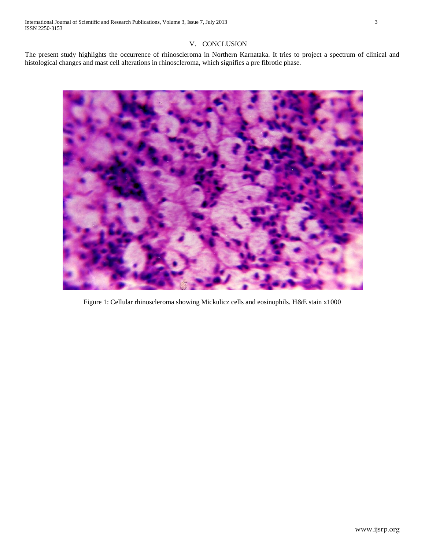# V. CONCLUSION

The present study highlights the occurrence of rhinoscleroma in Northern Karnataka. It tries to project a spectrum of clinical and histological changes and mast cell alterations in rhinoscleroma, which signifies a pre fibrotic phase.



Figure 1: Cellular rhinoscleroma showing Mickulicz cells and eosinophils. H&E stain x1000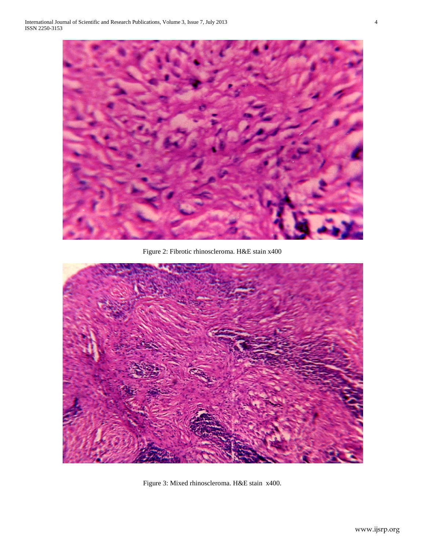

Figure 2: Fibrotic rhinoscleroma. H&E stain x400



Figure 3: Mixed rhinoscleroma. H&E stain x400.